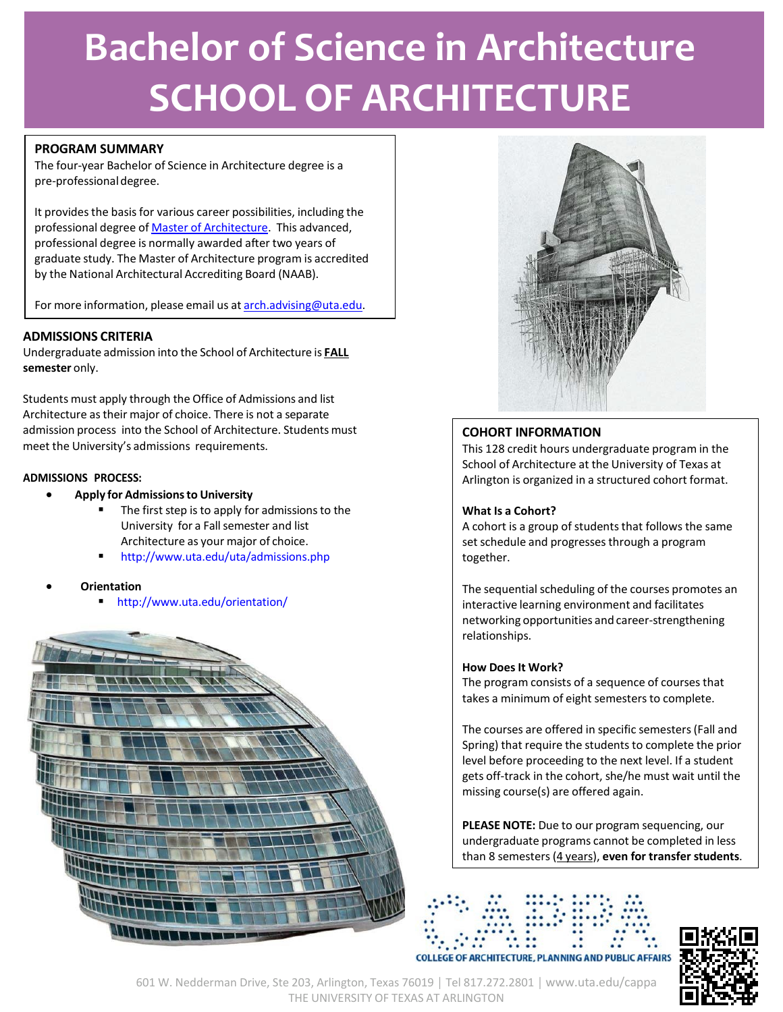# **Bachelor of Science in Architecture SCHOOL OF ARCHITECTURE**

## **PROGRAM SUMMARY**

The four-year Bachelor of Science in Architecture degree is a pre-professionaldegree.

It provides the basis for various career possibilities, including the professional degree of **Master of Architecture**. This advanced, professional degree is normally awarded after two years of graduate study. The Master of Architecture program is accredited by the National Architectural Accrediting Board (NAAB).

For more information, please email us at [arch.advising@uta.edu.](mailto:arch.advising@uta.edu)

## **ADMISSIONS CRITERIA**

Undergraduate admission into the School of Architecture is **FALL semester** only.

Students must apply through the Office of Admissions and list Architecture astheir major of choice. There is not a separate admission process into the School of Architecture. Students must meet the University's admissions requirements.

## **ADMISSIONS PROCESS:**

- **Apply for Admissionsto University**
	- The first step is to apply for admissions to the University for a Fallsemester and list Architecture as your major of choice.
	- <http://www.uta.edu/uta/admissions.php>
- **Orientation**
	- <http://www.uta.edu/orientation/>





## **COHORT INFORMATION**

This 128 credit hours undergraduate program in the School of Architecture at the University of Texas at Arlington is organized in a structured cohort format.

#### **What Is a Cohort?**

A cohort is a group of students that follows the same set schedule and progresses through a program together.

The sequential scheduling of the courses promotes an interactive learning environment and facilitates networking opportunities and career-strengthening relationships.

#### **How Does It Work?**

The program consists of a sequence of courses that takes a minimum of eight semesters to complete.

The courses are offered in specific semesters(Fall and Spring) that require the students to complete the prior level before proceeding to the next level. If a student gets off-track in the cohort, she/he must wait until the missing course(s) are offered again.

**PLEASE NOTE:** Due to our program sequencing, our undergraduate programs cannot be completed in less than 8 semesters(4 years), **even for transfer students**.

#### **COLLEGE OF ARCHITECTURE, PLANNING AND PUBLIC AFFAIRS**



601 W. Nedderman Drive, Ste 203, Arlington, Texas 76019 │ Tel 817.272.2801 │ [www.uta.edu/cappa](http://www.uta.edu/cappa) THE UNIVERSITY OF TEXAS AT ARLINGTON